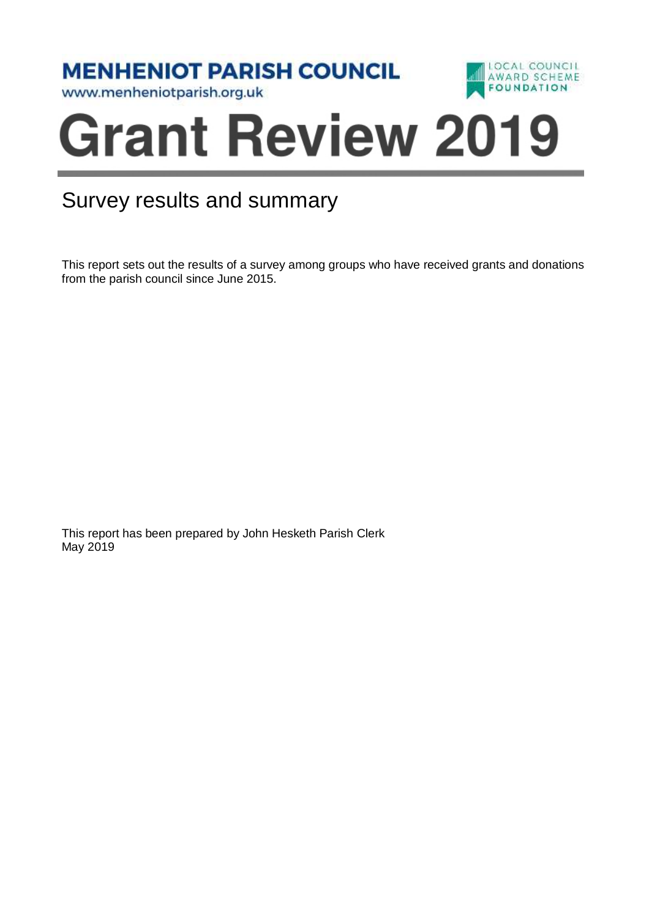**MENHENIOT PARISH COUNCIL** 



www.menheniotparish.org.uk

# í

## Survey results and summary

This report sets out the results of a survey among groups who have received grants and donations from the parish council since June 2015.

This report has been prepared by John Hesketh Parish Clerk May 2019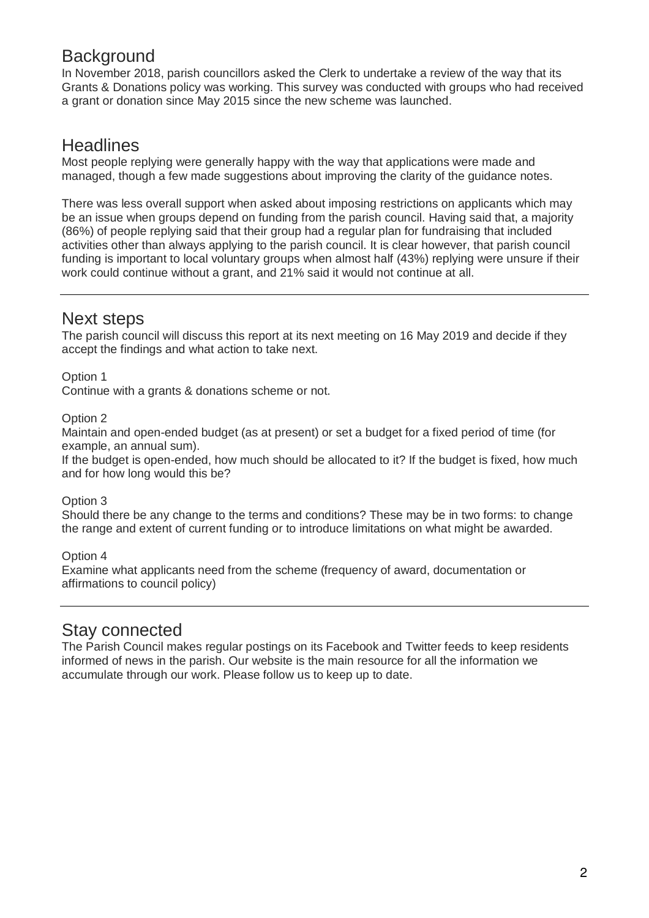## **Background**

In November 2018, parish councillors asked the Clerk to undertake a review of the way that its Grants & Donations policy was working. This survey was conducted with groups who had received a grant or donation since May 2015 since the new scheme was launched.

## **Headlines**

Most people replying were generally happy with the way that applications were made and managed, though a few made suggestions about improving the clarity of the guidance notes.

There was less overall support when asked about imposing restrictions on applicants which may be an issue when groups depend on funding from the parish council. Having said that, a majority (86%) of people replying said that their group had a regular plan for fundraising that included activities other than always applying to the parish council. It is clear however, that parish council funding is important to local voluntary groups when almost half (43%) replying were unsure if their work could continue without a grant, and 21% said it would not continue at all.

## Next steps

The parish council will discuss this report at its next meeting on 16 May 2019 and decide if they accept the findings and what action to take next.

Option 1

Continue with a grants & donations scheme or not.

Option 2

Maintain and open-ended budget (as at present) or set a budget for a fixed period of time (for example, an annual sum).

If the budget is open-ended, how much should be allocated to it? If the budget is fixed, how much and for how long would this be?

Option 3

Should there be any change to the terms and conditions? These may be in two forms: to change the range and extent of current funding or to introduce limitations on what might be awarded.

Option 4

Examine what applicants need from the scheme (frequency of award, documentation or affirmations to council policy)

### Stay connected

The Parish Council makes regular postings on its Facebook and Twitter feeds to keep residents informed of news in the parish. Our website is the main resource for all the information we accumulate through our work. Please follow us to keep up to date.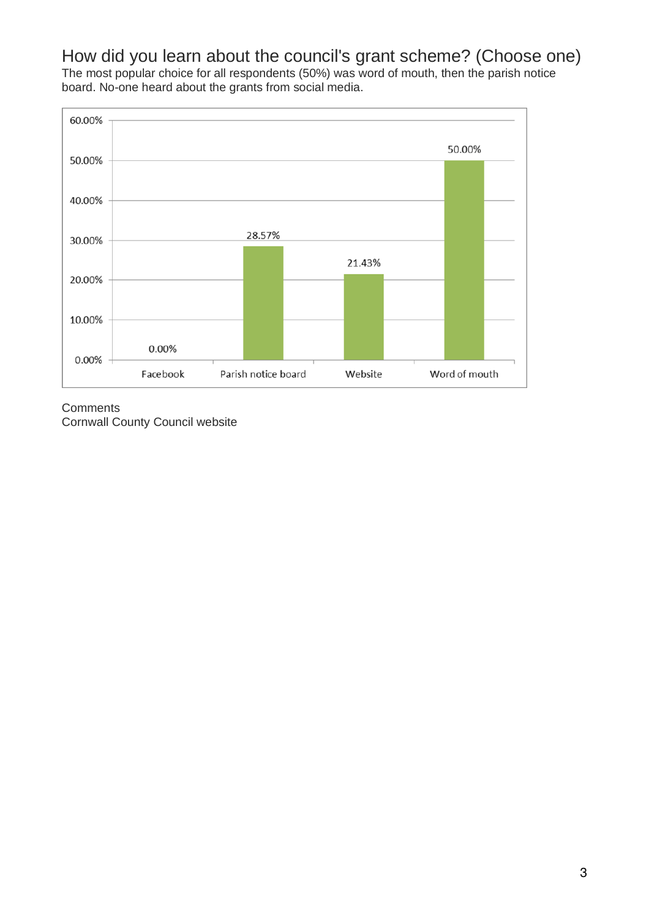How did you learn about the council's grant scheme? (Choose one) The most popular choice for all respondents (50%) was word of mouth, then the parish notice board. No-one heard about the grants from social media.



**Comments** Cornwall County Council website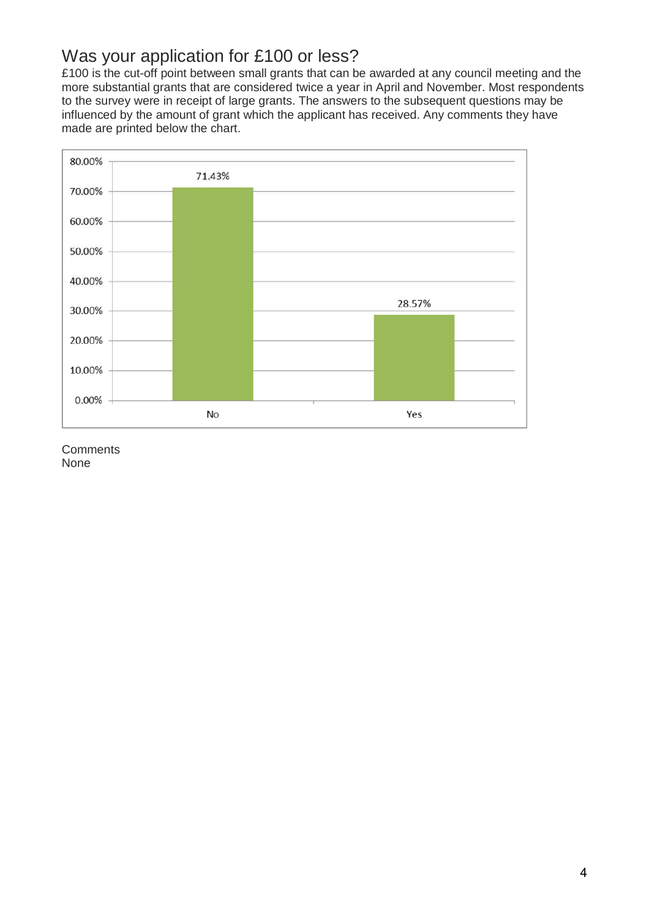## Was your application for £100 or less?

£100 is the cut-off point between small grants that can be awarded at any council meeting and the more substantial grants that are considered twice a year in April and November. Most respondents to the survey were in receipt of large grants. The answers to the subsequent questions may be influenced by the amount of grant which the applicant has received. Any comments they have made are printed below the chart.



**Comments** None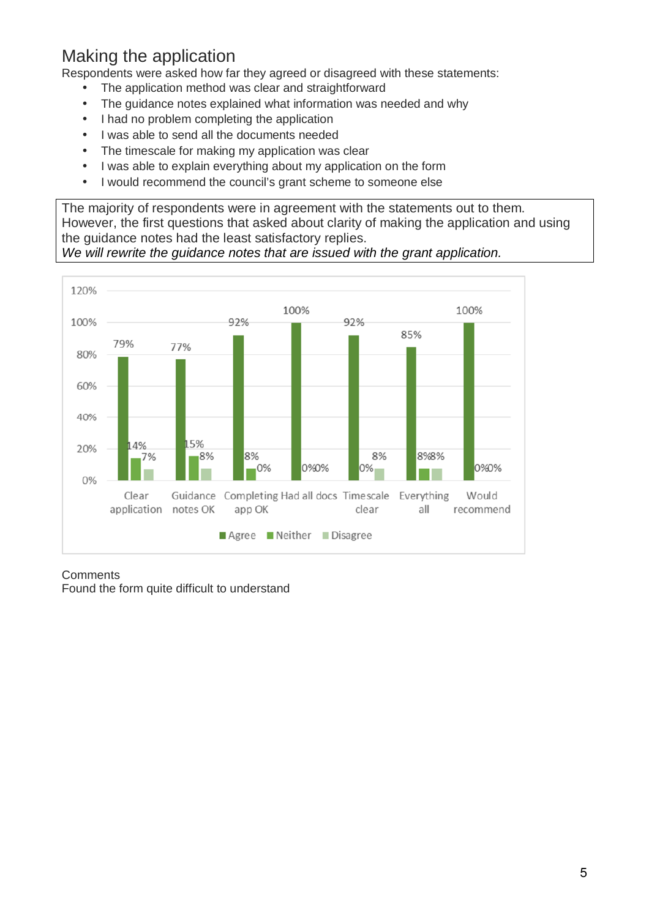## Making the application

Respondents were asked how far they agreed or disagreed with these statements:

- The application method was clear and straightforward
- The guidance notes explained what information was needed and why
- I had no problem completing the application
- I was able to send all the documents needed
- The timescale for making my application was clear
- I was able to explain everything about my application on the form
- I would recommend the council's grant scheme to someone else

The majority of respondents were in agreement with the statements out to them. However, the first questions that asked about clarity of making the application and using the guidance notes had the least satisfactory replies.

#### We will rewrite the guidance notes that are issued with the grant application.



#### **Comments** Found the form quite difficult to understand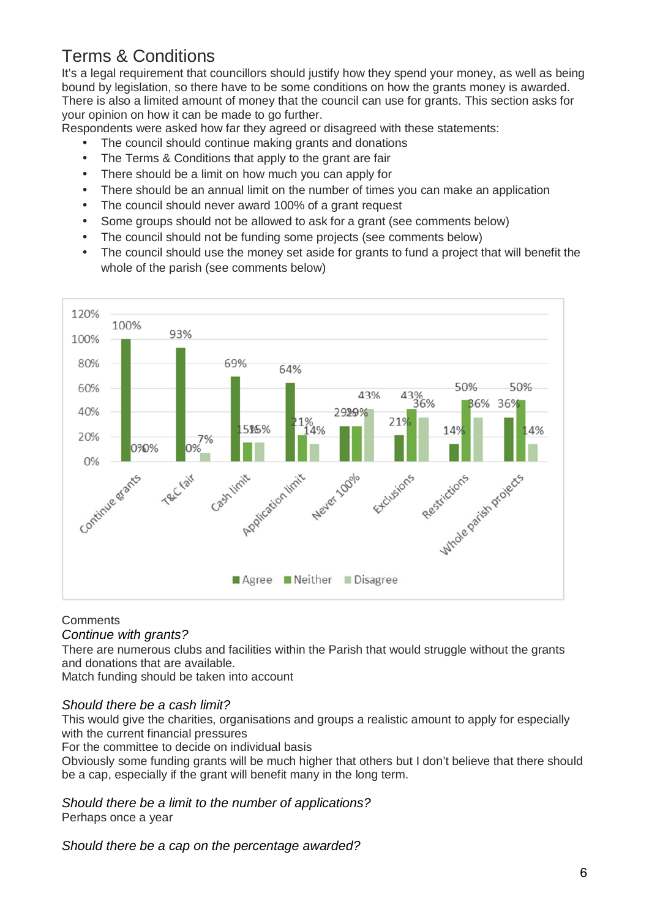## Terms & Conditions

It's a legal requirement that councillors should justify how they spend your money, as well as being bound by legislation, so there have to be some conditions on how the grants money is awarded. There is also a limited amount of money that the council can use for grants. This section asks for your opinion on how it can be made to go further.

Respondents were asked how far they agreed or disagreed with these statements:

- The council should continue making grants and donations
- The Terms & Conditions that apply to the grant are fair
- There should be a limit on how much you can apply for
- There should be an annual limit on the number of times you can make an application
- The council should never award 100% of a grant request
- Some groups should not be allowed to ask for a grant (see comments below)
- The council should not be funding some projects (see comments below)
- The council should use the money set aside for grants to fund a project that will benefit the whole of the parish (see comments below)



#### **Comments**

#### Continue with grants?

There are numerous clubs and facilities within the Parish that would struggle without the grants and donations that are available.

Match funding should be taken into account

#### Should there be a cash limit?

This would give the charities, organisations and groups a realistic amount to apply for especially with the current financial pressures

For the committee to decide on individual basis

Obviously some funding grants will be much higher that others but I don't believe that there should be a cap, especially if the grant will benefit many in the long term.

#### Should there be a limit to the number of applications? Perhaps once a year

Should there be a cap on the percentage awarded?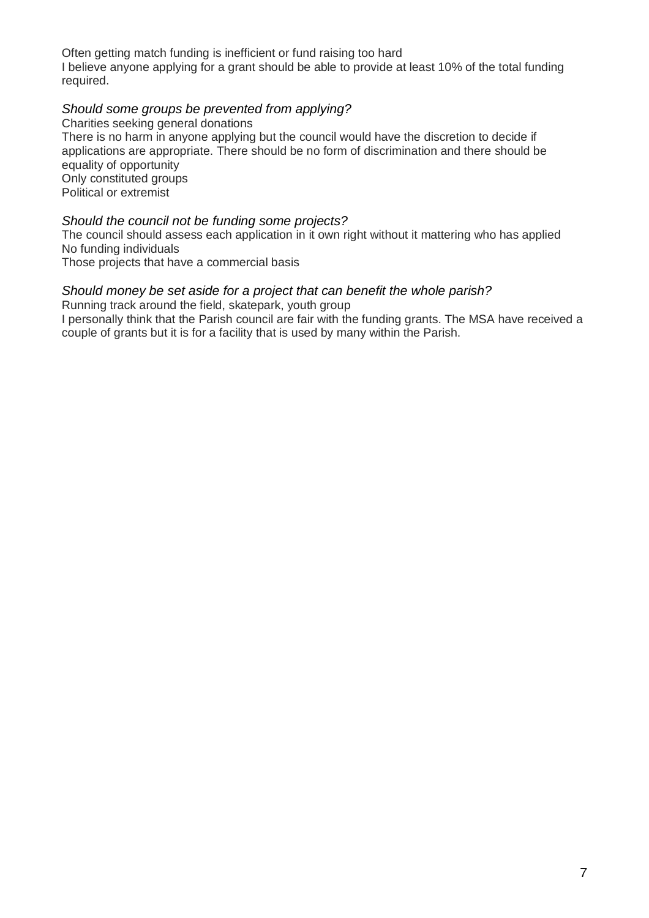Often getting match funding is inefficient or fund raising too hard I believe anyone applying for a grant should be able to provide at least 10% of the total funding required.

#### Should some groups be prevented from applying?

Charities seeking general donations There is no harm in anyone applying but the council would have the discretion to decide if applications are appropriate. There should be no form of discrimination and there should be equality of opportunity Only constituted groups Political or extremist

#### Should the council not be funding some projects?

The council should assess each application in it own right without it mattering who has applied No funding individuals

Those projects that have a commercial basis

#### Should money be set aside for a project that can benefit the whole parish?

Running track around the field, skatepark, youth group

I personally think that the Parish council are fair with the funding grants. The MSA have received a couple of grants but it is for a facility that is used by many within the Parish.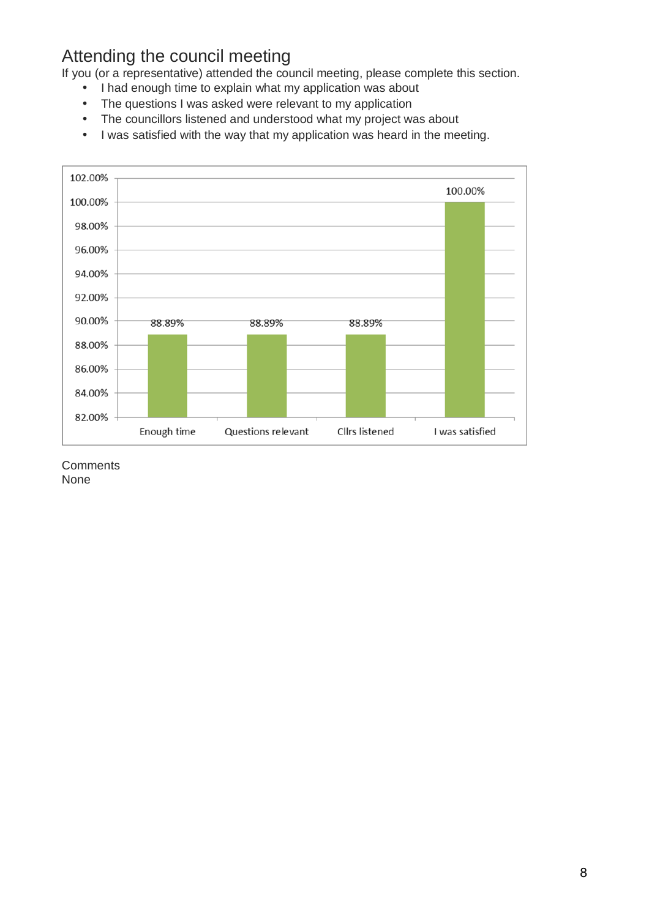## Attending the council meeting

If you (or a representative) attended the council meeting, please complete this section.

- I had enough time to explain what my application was about
- The questions I was asked were relevant to my application
- The councillors listened and understood what my project was about
- I was satisfied with the way that my application was heard in the meeting.



**Comments** 

None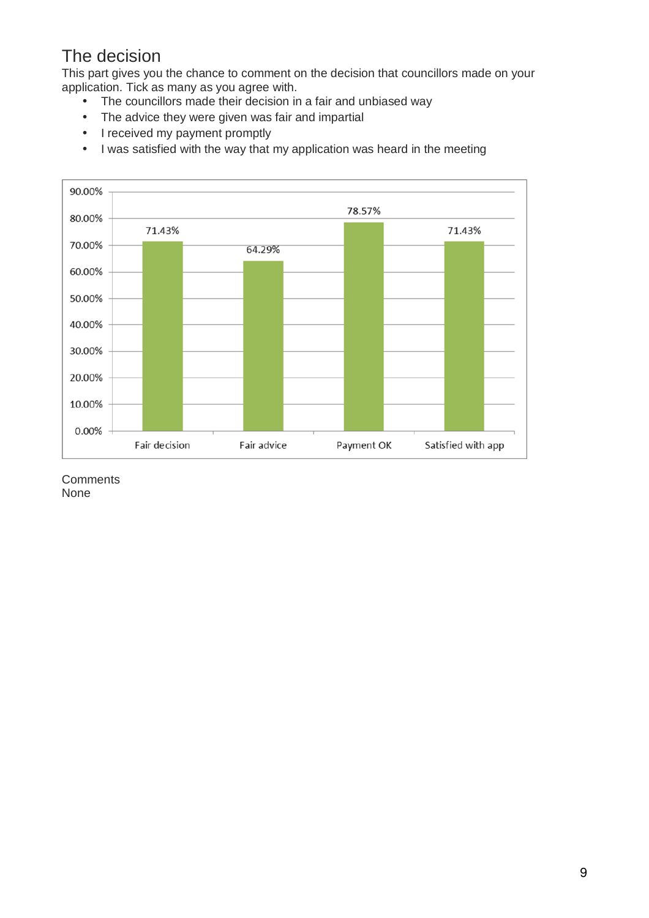## The decision

This part gives you the chance to comment on the decision that councillors made on your application. Tick as many as you agree with.

- The councillors made their decision in a fair and unbiased way
- The advice they were given was fair and impartial
- I received my payment promptly
- I was satisfied with the way that my application was heard in the meeting



**Comments** None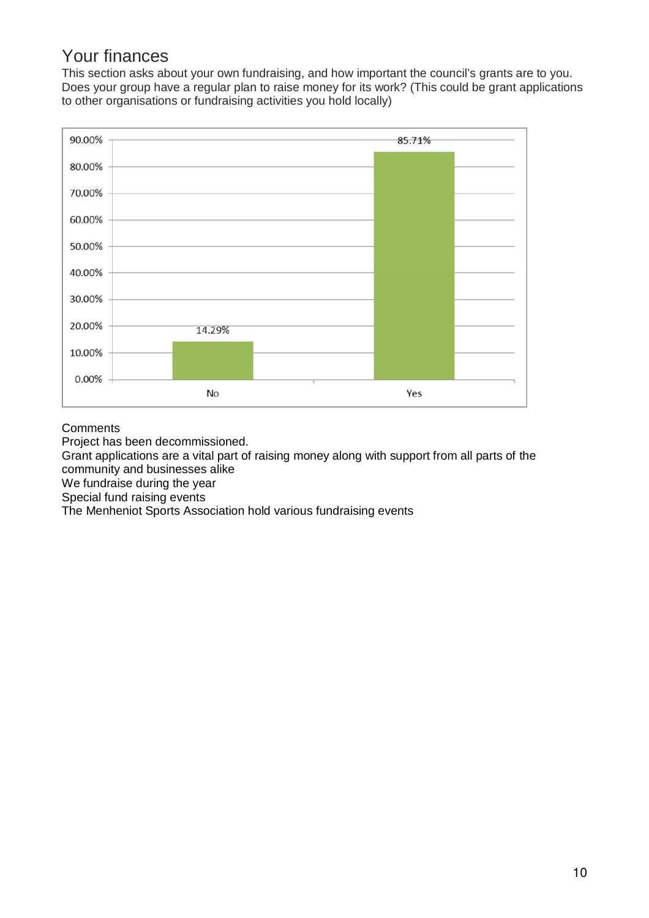## Your finances

This section asks about your own fundraising, and how important the council's grants are to you. Does your group have a regular plan to raise money for its work? (This could be grant applications to other organisations or fundraising activities you hold locally)



#### **Comments**

Project has been decommissioned.

Grant applications are a vital part of raising money along with support from all parts of the community and businesses alike

We fundraise during the year

Special fund raising events

The Menheniot Sports Association hold various fundraising events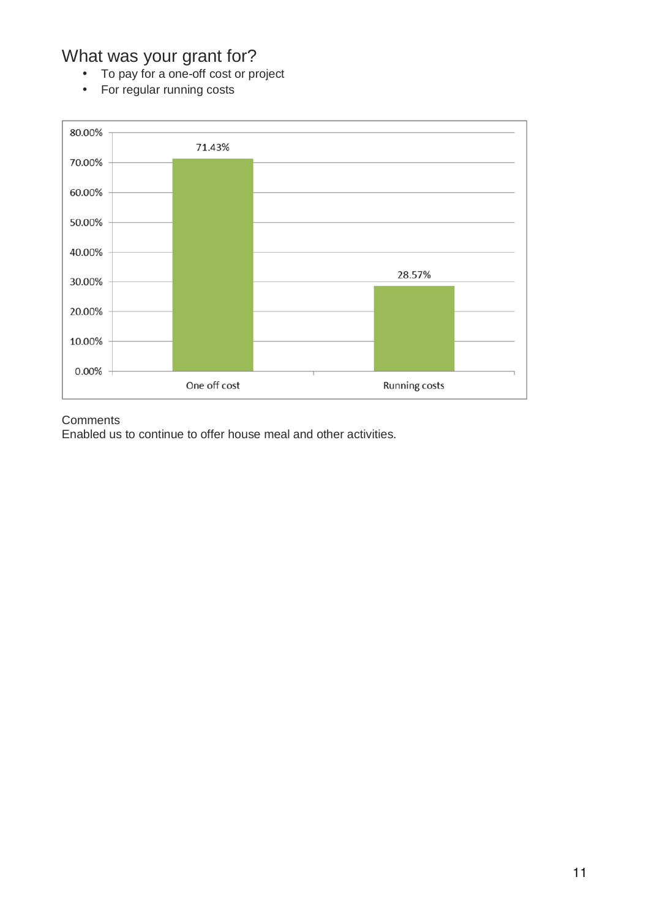## What was your grant for?

- To pay for a one-off cost or project
- For regular running costs



#### **Comments**

Enabled us to continue to offer house meal and other activities.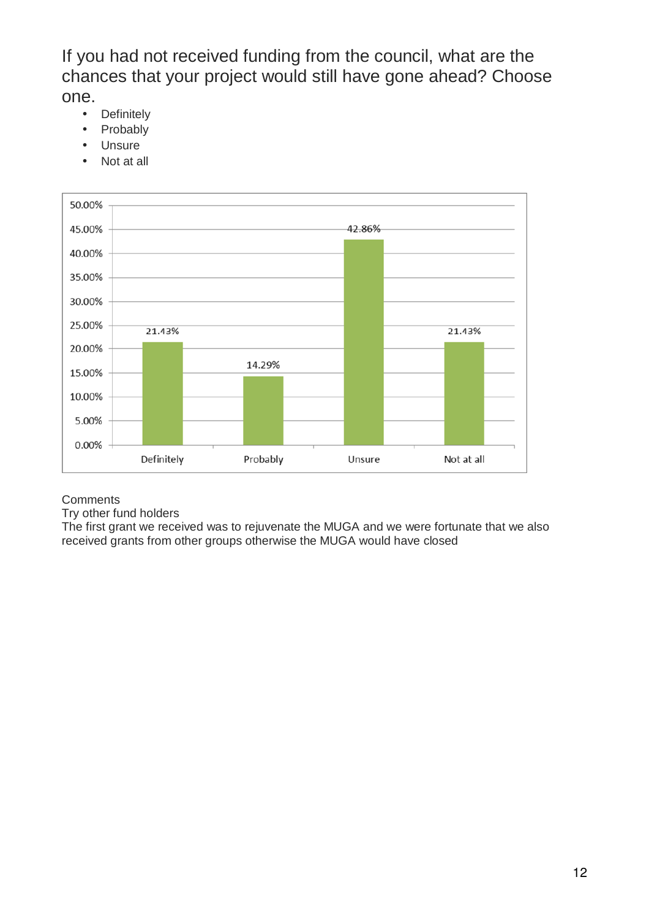If you had not received funding from the council, what are the chances that your project would still have gone ahead? Choose one.

- Definitely
- Probably
- Unsure
- Not at all



#### **Comments**

Try other fund holders

The first grant we received was to rejuvenate the MUGA and we were fortunate that we also received grants from other groups otherwise the MUGA would have closed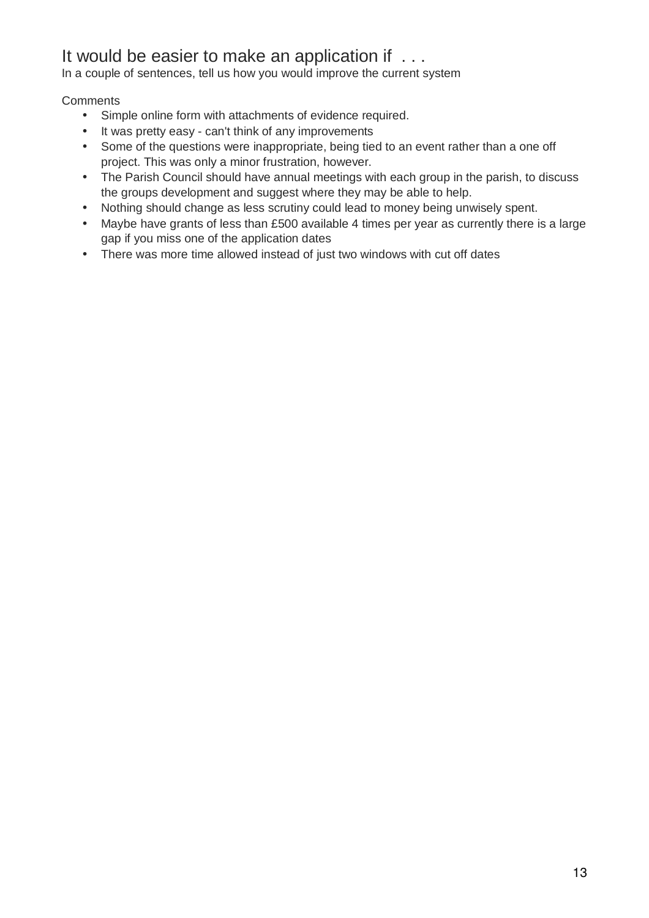## It would be easier to make an application if . . .

In a couple of sentences, tell us how you would improve the current system

#### **Comments**

- Simple online form with attachments of evidence required.
- It was pretty easy can't think of any improvements
- Some of the questions were inappropriate, being tied to an event rather than a one off project. This was only a minor frustration, however.
- The Parish Council should have annual meetings with each group in the parish, to discuss the groups development and suggest where they may be able to help.
- Nothing should change as less scrutiny could lead to money being unwisely spent.
- Maybe have grants of less than £500 available 4 times per year as currently there is a large gap if you miss one of the application dates
- There was more time allowed instead of just two windows with cut off dates